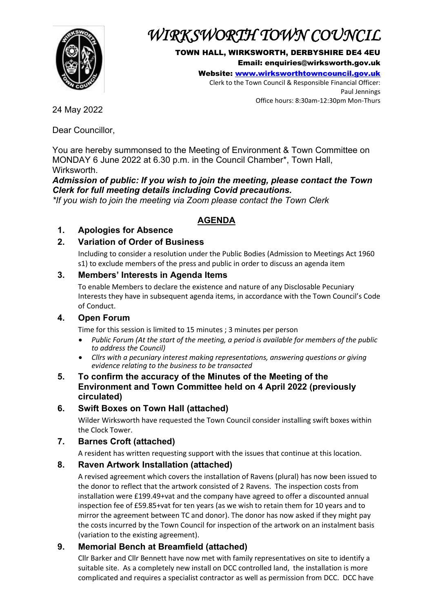

# *WIRKSWORTH TOWN COUNCIL*

TOWN HALL, WIRKSWORTH, DERBYSHIRE DE4 4EU Email: enquiries@wirksworth.gov.uk

Website: [www.wirksworthtowncouncil.gov.uk](http://www.wirksworthtowncouncil.gov.uk/)

Clerk to the Town Council & Responsible Financial Officer: Paul Jennings Office hours: 8:30am-12:30pm Mon-Thurs

24 May 2022

Dear Councillor,

You are hereby summonsed to the Meeting of Environment & Town Committee on MONDAY 6 June 2022 at 6.30 p.m. in the Council Chamber\*, Town Hall, Wirksworth.

*Admission of public: If you wish to join the meeting, please contact the Town Clerk for full meeting details including Covid precautions.*

*\*If you wish to join the meeting via Zoom please contact the Town Clerk*

# **AGENDA**

## **1. Apologies for Absence**

# **2. Variation of Order of Business**

Including to consider a resolution under the Public Bodies (Admission to Meetings Act 1960 s1) to exclude members of the press and public in order to discuss an agenda item

### **3. Members' Interests in Agenda Items**

To enable Members to declare the existence and nature of any Disclosable Pecuniary Interests they have in subsequent agenda items, in accordance with the Town Council's Code of Conduct.

### **4. Open Forum**

Time for this session is limited to 15 minutes ; 3 minutes per person

- *Public Forum (At the start of the meeting, a period is available for members of the public to address the Council)*
- *Cllrs with a pecuniary interest making representations, answering questions or giving evidence relating to the business to be transacted*

#### **5. To confirm the accuracy of the Minutes of the Meeting of the Environment and Town Committee held on 4 April 2022 (previously circulated)**

### **6. Swift Boxes on Town Hall (attached)**

Wilder Wirksworth have requested the Town Council consider installing swift boxes within the Clock Tower.

# **7. Barnes Croft (attached)**

A resident has written requesting support with the issues that continue at this location.

### **8. Raven Artwork Installation (attached)**

A revised agreement which covers the installation of Ravens (plural) has now been issued to the donor to reflect that the artwork consisted of 2 Ravens. The inspection costs from installation were £199.49+vat and the company have agreed to offer a discounted annual inspection fee of £59.85+vat for ten years (as we wish to retain them for 10 years and to mirror the agreement between TC and donor). The donor has now asked if they might pay the costs incurred by the Town Council for inspection of the artwork on an instalment basis (variation to the existing agreement).

### **9. Memorial Bench at Breamfield (attached)**

Cllr Barker and Cllr Bennett have now met with family representatives on site to identify a suitable site. As a completely new install on DCC controlled land, the installation is more complicated and requires a specialist contractor as well as permission from DCC. DCC have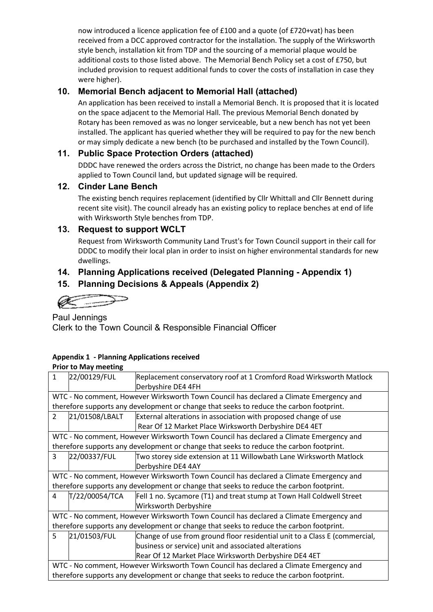now introduced a licence application fee of £100 and a quote (of £720+vat) has been received from a DCC approved contractor for the installation. The supply of the Wirksworth style bench, installation kit from TDP and the sourcing of a memorial plaque would be additional costs to those listed above. The Memorial Bench Policy set a cost of £750, but included provision to request additional funds to cover the costs of installation in case they were higher).

## **10. Memorial Bench adjacent to Memorial Hall (attached)**

An application has been received to install a Memorial Bench. It is proposed that it is located on the space adjacent to the Memorial Hall. The previous Memorial Bench donated by Rotary has been removed as was no longer serviceable, but a new bench has not yet been installed. The applicant has queried whether they will be required to pay for the new bench or may simply dedicate a new bench (to be purchased and installed by the Town Council).

## **11. Public Space Protection Orders (attached)**

DDDC have renewed the orders across the District, no change has been made to the Orders applied to Town Council land, but updated signage will be required.

### **12. Cinder Lane Bench**

The existing bench requires replacement (identified by Cllr Whittall and Cllr Bennett during recent site visit). The council already has an existing policy to replace benches at end of life with Wirksworth Style benches from TDP.

### **13. Request to support WCLT**

Request from Wirksworth Community Land Trust's for Town Council support in their call for DDDC to modify their local plan in order to insist on higher environmental standards for new dwellings.

## **14. Planning Applications received (Delegated Planning - Appendix 1)**

## **15. Planning Decisions & Appeals (Appendix 2)**



#### Paul Jennings Clerk to the Town Council & Responsible Financial Officer

### **Appendix 1 - Planning Applications received**

| <b>Prior to May meeting</b>                                                             |                |                                                                            |  |  |  |
|-----------------------------------------------------------------------------------------|----------------|----------------------------------------------------------------------------|--|--|--|
| $\mathbf{1}$                                                                            | 22/00129/FUL   | Replacement conservatory roof at 1 Cromford Road Wirksworth Matlock        |  |  |  |
|                                                                                         |                | Derbyshire DE4 4FH                                                         |  |  |  |
| WTC - No comment, However Wirksworth Town Council has declared a Climate Emergency and  |                |                                                                            |  |  |  |
| therefore supports any development or change that seeks to reduce the carbon footprint. |                |                                                                            |  |  |  |
| 2                                                                                       | 21/01508/LBALT | External alterations in association with proposed change of use            |  |  |  |
|                                                                                         |                | Rear Of 12 Market Place Wirksworth Derbyshire DE4 4ET                      |  |  |  |
| WTC - No comment, However Wirksworth Town Council has declared a Climate Emergency and  |                |                                                                            |  |  |  |
| therefore supports any development or change that seeks to reduce the carbon footprint. |                |                                                                            |  |  |  |
| 3                                                                                       | 22/00337/FUL   | Two storey side extension at 11 Willowbath Lane Wirksworth Matlock         |  |  |  |
|                                                                                         |                | Derbyshire DE4 4AY                                                         |  |  |  |
| WTC - No comment, However Wirksworth Town Council has declared a Climate Emergency and  |                |                                                                            |  |  |  |
| therefore supports any development or change that seeks to reduce the carbon footprint. |                |                                                                            |  |  |  |
| 4                                                                                       | T/22/00054/TCA | Fell 1 no. Sycamore (T1) and treat stump at Town Hall Coldwell Street      |  |  |  |
|                                                                                         |                | <b>Wirksworth Derbyshire</b>                                               |  |  |  |
| WTC - No comment, However Wirksworth Town Council has declared a Climate Emergency and  |                |                                                                            |  |  |  |
| therefore supports any development or change that seeks to reduce the carbon footprint. |                |                                                                            |  |  |  |
| 5                                                                                       | 21/01503/FUL   | Change of use from ground floor residential unit to a Class E (commercial, |  |  |  |
|                                                                                         |                | business or service) unit and associated alterations                       |  |  |  |
|                                                                                         |                | Rear Of 12 Market Place Wirksworth Derbyshire DE4 4ET                      |  |  |  |
| WTC - No comment, However Wirksworth Town Council has declared a Climate Emergency and  |                |                                                                            |  |  |  |
| therefore supports any development or change that seeks to reduce the carbon footprint. |                |                                                                            |  |  |  |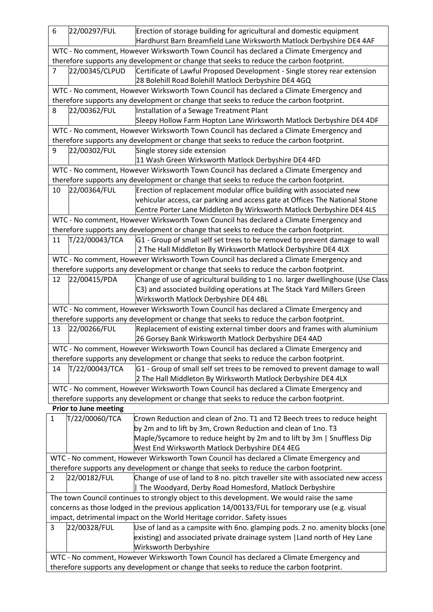| 6<br>22/00297/FUL<br>Erection of storage building for agricultural and domestic equipment<br>Hardhurst Barn Breamfield Lane Wirksworth Matlock Derbyshire DE4 4AF |  |  |  |  |  |
|-------------------------------------------------------------------------------------------------------------------------------------------------------------------|--|--|--|--|--|
| WTC - No comment, However Wirksworth Town Council has declared a Climate Emergency and                                                                            |  |  |  |  |  |
| therefore supports any development or change that seeks to reduce the carbon footprint.                                                                           |  |  |  |  |  |
| $\overline{7}$<br>22/00345/CLPUD<br>Certificate of Lawful Proposed Development - Single storey rear extension                                                     |  |  |  |  |  |
| 28 Bolehill Road Bolehill Matlock Derbyshire DE4 4GQ                                                                                                              |  |  |  |  |  |
| WTC - No comment, However Wirksworth Town Council has declared a Climate Emergency and                                                                            |  |  |  |  |  |
| therefore supports any development or change that seeks to reduce the carbon footprint.                                                                           |  |  |  |  |  |
| 8<br>22/00362/FUL<br>Installation of a Sewage Treatment Plant                                                                                                     |  |  |  |  |  |
| Sleepy Hollow Farm Hopton Lane Wirksworth Matlock Derbyshire DE4 4DF                                                                                              |  |  |  |  |  |
| WTC - No comment, However Wirksworth Town Council has declared a Climate Emergency and                                                                            |  |  |  |  |  |
| therefore supports any development or change that seeks to reduce the carbon footprint.                                                                           |  |  |  |  |  |
| 9<br>22/00302/FUL<br>Single storey side extension                                                                                                                 |  |  |  |  |  |
| 11 Wash Green Wirksworth Matlock Derbyshire DE4 4FD                                                                                                               |  |  |  |  |  |
| WTC - No comment, However Wirksworth Town Council has declared a Climate Emergency and                                                                            |  |  |  |  |  |
| therefore supports any development or change that seeks to reduce the carbon footprint.                                                                           |  |  |  |  |  |
| 22/00364/FUL<br>Erection of replacement modular office building with associated new<br>10                                                                         |  |  |  |  |  |
| vehicular access, car parking and access gate at Offices The National Stone                                                                                       |  |  |  |  |  |
| Centre Porter Lane Middleton By Wirksworth Matlock Derbyshire DE4 4LS                                                                                             |  |  |  |  |  |
| WTC - No comment, However Wirksworth Town Council has declared a Climate Emergency and                                                                            |  |  |  |  |  |
| therefore supports any development or change that seeks to reduce the carbon footprint.                                                                           |  |  |  |  |  |
| G1 - Group of small self set trees to be removed to prevent damage to wall<br>11<br>T/22/00043/TCA                                                                |  |  |  |  |  |
| 2 The Hall Middleton By Wirksworth Matlock Derbyshire DE4 4LX                                                                                                     |  |  |  |  |  |
| WTC - No comment, However Wirksworth Town Council has declared a Climate Emergency and                                                                            |  |  |  |  |  |
| therefore supports any development or change that seeks to reduce the carbon footprint.                                                                           |  |  |  |  |  |
| 22/00415/PDA<br>Change of use of agricultural building to 1 no. larger dwellinghouse (Use Class<br>12                                                             |  |  |  |  |  |
| C3) and associated building operations at The Stack Yard Millers Green                                                                                            |  |  |  |  |  |
| Wirksworth Matlock Derbyshire DE4 4BL                                                                                                                             |  |  |  |  |  |
| WTC - No comment, However Wirksworth Town Council has declared a Climate Emergency and                                                                            |  |  |  |  |  |
| therefore supports any development or change that seeks to reduce the carbon footprint.                                                                           |  |  |  |  |  |
| 22/00266/FUL<br>Replacement of existing external timber doors and frames with aluminium<br>13                                                                     |  |  |  |  |  |
| 26 Gorsey Bank Wirksworth Matlock Derbyshire DE4 4AD                                                                                                              |  |  |  |  |  |
| WTC - No comment, However Wirksworth Town Council has declared a Climate Emergency and                                                                            |  |  |  |  |  |
| therefore supports any development or change that seeks to reduce the carbon footprint.                                                                           |  |  |  |  |  |
| T/22/00043/TCA<br>G1 - Group of small self set trees to be removed to prevent damage to wall<br>14                                                                |  |  |  |  |  |
| 2 The Hall Middleton By Wirksworth Matlock Derbyshire DE4 4LX                                                                                                     |  |  |  |  |  |
| WTC - No comment, However Wirksworth Town Council has declared a Climate Emergency and                                                                            |  |  |  |  |  |
| therefore supports any development or change that seeks to reduce the carbon footprint.                                                                           |  |  |  |  |  |
| <b>Prior to June meeting</b>                                                                                                                                      |  |  |  |  |  |
| T/22/00060/TCA<br>Crown Reduction and clean of 2no. T1 and T2 Beech trees to reduce height<br>1                                                                   |  |  |  |  |  |
| by 2m and to lift by 3m, Crown Reduction and clean of 1no. T3                                                                                                     |  |  |  |  |  |
| Maple/Sycamore to reduce height by 2m and to lift by 3m   Snuffless Dip                                                                                           |  |  |  |  |  |
| West End Wirksworth Matlock Derbyshire DE4 4EG                                                                                                                    |  |  |  |  |  |
| WTC - No comment, However Wirksworth Town Council has declared a Climate Emergency and                                                                            |  |  |  |  |  |
| therefore supports any development or change that seeks to reduce the carbon footprint.                                                                           |  |  |  |  |  |
| 22/00182/FUL<br>Change of use of land to 8 no. pitch traveller site with associated new access<br>$\overline{2}$                                                  |  |  |  |  |  |
| The Woodyard, Derby Road Homesford, Matlock Derbyshire                                                                                                            |  |  |  |  |  |
| The town Council continues to strongly object to this development. We would raise the same                                                                        |  |  |  |  |  |
| concerns as those lodged in the previous application 14/00133/FUL for temporary use (e.g. visual                                                                  |  |  |  |  |  |
| impact, detrimental impact on the World Heritage corridor. Safety issues                                                                                          |  |  |  |  |  |
| 22/00328/FUL<br>Use of land as a campsite with 6no. glamping pods. 2 no. amenity blocks (one<br>3                                                                 |  |  |  |  |  |
| existing) and associated private drainage system   Land north of Hey Lane                                                                                         |  |  |  |  |  |
| Wirksworth Derbyshire                                                                                                                                             |  |  |  |  |  |
| WTC - No comment, However Wirksworth Town Council has declared a Climate Emergency and                                                                            |  |  |  |  |  |
| therefore supports any development or change that seeks to reduce the carbon footprint.                                                                           |  |  |  |  |  |